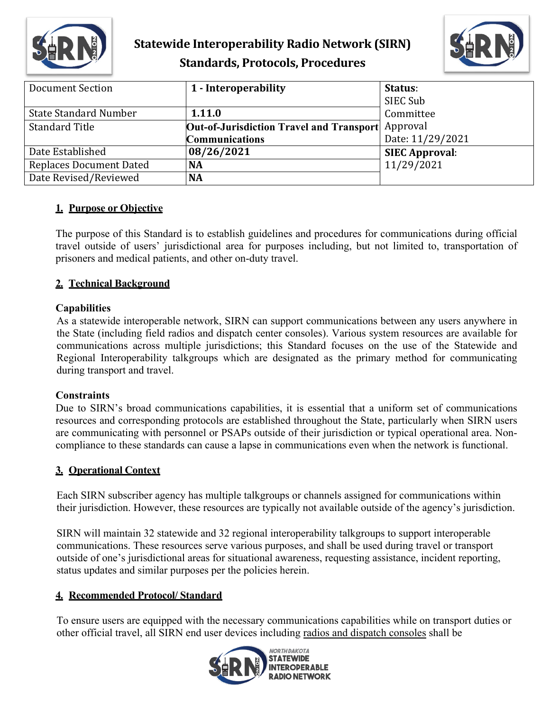

## **Statewide Interoperability Radio Network (SIRN) Standards, Protocols, Procedures**



| <b>Document Section</b>        | 1 - Interoperability                                 | Status:               |  |
|--------------------------------|------------------------------------------------------|-----------------------|--|
|                                |                                                      | SIEC Sub              |  |
| <b>State Standard Number</b>   | 1.11.0                                               | Committee             |  |
| <b>Standard Title</b>          | Approval<br>Out-of-Jurisdiction Travel and Transport |                       |  |
|                                | <b>Communications</b>                                | Date: 11/29/2021      |  |
| Date Established               | 08/26/2021                                           | <b>SIEC Approval:</b> |  |
| <b>Replaces Document Dated</b> | <b>NA</b>                                            | 11/29/2021            |  |
| Date Revised/Reviewed          | <b>NA</b>                                            |                       |  |

#### **1. Purpose or Objective**

The purpose of this Standard is to establish guidelines and procedures for communications during official travel outside of users' jurisdictional area for purposes including, but not limited to, transportation of prisoners and medical patients, and other on-duty travel.

### **2. Technical Background**

#### **Capabilities**

As a statewide interoperable network, SIRN can support communications between any users anywhere in the State (including field radios and dispatch center consoles). Various system resources are available for communications across multiple jurisdictions; this Standard focuses on the use of the Statewide and Regional Interoperability talkgroups which are designated as the primary method for communicating during transport and travel.

#### **Constraints**

Due to SIRN's broad communications capabilities, it is essential that a uniform set of communications resources and corresponding protocols are established throughout the State, particularly when SIRN users are communicating with personnel or PSAPs outside of their jurisdiction or typical operational area. Noncompliance to these standards can cause a lapse in communications even when the network is functional.

#### **3. Operational Context**

Each SIRN subscriber agency has multiple talkgroups or channels assigned for communications within their jurisdiction. However, these resources are typically not available outside of the agency's jurisdiction.

SIRN will maintain 32 statewide and 32 regional interoperability talkgroups to support interoperable communications. These resources serve various purposes, and shall be used during travel or transport outside of one's jurisdictional areas for situational awareness, requesting assistance, incident reporting, status updates and similar purposes per the policies herein.

#### **4. Recommended Protocol/ Standard**

To ensure users are equipped with the necessary communications capabilities while on transport duties or other official travel, all SIRN end user devices including radios and dispatch consoles shall be

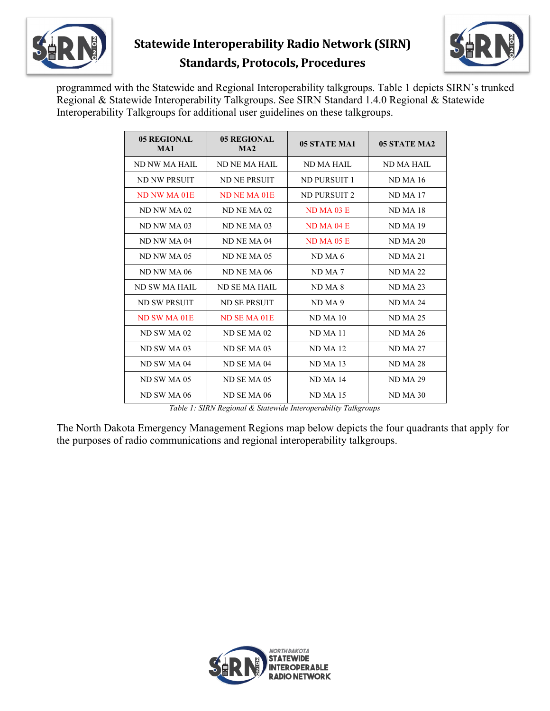

# **Statewide Interoperability Radio Network (SIRN) Standards, Protocols, Procedures**



programmed with the Statewide and Regional Interoperability talkgroups. Table 1 depicts SIRN's trunked Regional & Statewide Interoperability Talkgroups. See SIRN Standard 1.4.0 Regional & Statewide Interoperability Talkgroups for additional user guidelines on these talkgroups.

| 05 REGIONAL<br>MA1 | 05 REGIONAL<br>MA2 | 05 STATE MA1       | 05 STATE MA2        |
|--------------------|--------------------|--------------------|---------------------|
| ND NW MA HAIL      | ND NE MA HAIL      | ND MA HAIL         | ND MA HAIL          |
| ND NW PRSUIT       | ND NE PRSUIT       | ND PURSUIT 1       | <b>ND MA 16</b>     |
| ND NW MA 01E       | ND NE MA 01E       | ND PURSUIT 2       | ND MA <sub>17</sub> |
| ND NW MA 02        | ND NE MA 02        | $ND MA$ 03 E       | ND MA <sub>18</sub> |
| ND NW MA 03        | ND NE MA 03        | ND MA 04E          | ND MA 19            |
| ND NW MA 04        | ND NE MA 04        | $ND MA$ 05 E       | <b>ND MA 20</b>     |
| ND NW MA 05        | ND NE MA 05        | ND MA 6            | <b>ND MA 21</b>     |
| ND NW MA 06        | ND NE MA 06        | ND MA <sub>7</sub> | <b>ND MA 22</b>     |
| ND SW MA HAIL      | ND SE MA HAIL      | ND MA 8            | <b>ND MA 23</b>     |
| ND SW PRSUIT       | ND SE PRSUIT       | ND MA 9            | <b>ND MA 24</b>     |
| ND SW MA 01E       | ND SE MA 01E       | ND MA 10           | <b>ND MA 25</b>     |
| ND SW MA 02        | ND SE MA 02        | ND MA 11           | <b>ND MA 26</b>     |
| ND SW MA 03        | ND SE MA 03        | <b>ND MA 12</b>    | <b>ND MA 27</b>     |
| ND SW MA 04        | ND SE MA 04        | <b>ND MA 13</b>    | <b>ND MA 28</b>     |
| ND SW MA 05        | ND SE MA 05        | <b>ND MA 14</b>    | <b>ND MA 29</b>     |
| ND SW MA 06        | ND SE MA 06        | <b>ND MA 15</b>    | ND MA 30            |

*Table 1: SIRN Regional & Statewide Interoperability Talkgroups*

The North Dakota Emergency Management Regions map below depicts the four quadrants that apply for the purposes of radio communications and regional interoperability talkgroups.

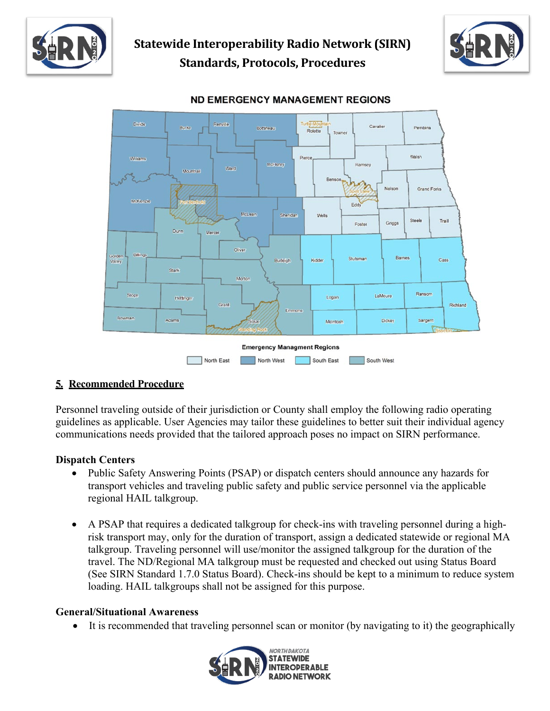





#### **ND EMERGENCY MANAGEMENT REGIONS**

#### **5. Recommended Procedure**

Personnel traveling outside of their jurisdiction or County shall employ the following radio operating guidelines as applicable. User Agencies may tailor these guidelines to better suit their individual agency communications needs provided that the tailored approach poses no impact on SIRN performance.

#### **Dispatch Centers**

- Public Safety Answering Points (PSAP) or dispatch centers should announce any hazards for transport vehicles and traveling public safety and public service personnel via the applicable regional HAIL talkgroup.
- A PSAP that requires a dedicated talkgroup for check-ins with traveling personnel during a highrisk transport may, only for the duration of transport, assign a dedicated statewide or regional MA talkgroup. Traveling personnel will use/monitor the assigned talkgroup for the duration of the travel. The ND/Regional MA talkgroup must be requested and checked out using Status Board (See SIRN Standard 1.7.0 Status Board). Check-ins should be kept to a minimum to reduce system loading. HAIL talkgroups shall not be assigned for this purpose.

#### **General/Situational Awareness**

• It is recommended that traveling personnel scan or monitor (by navigating to it) the geographically